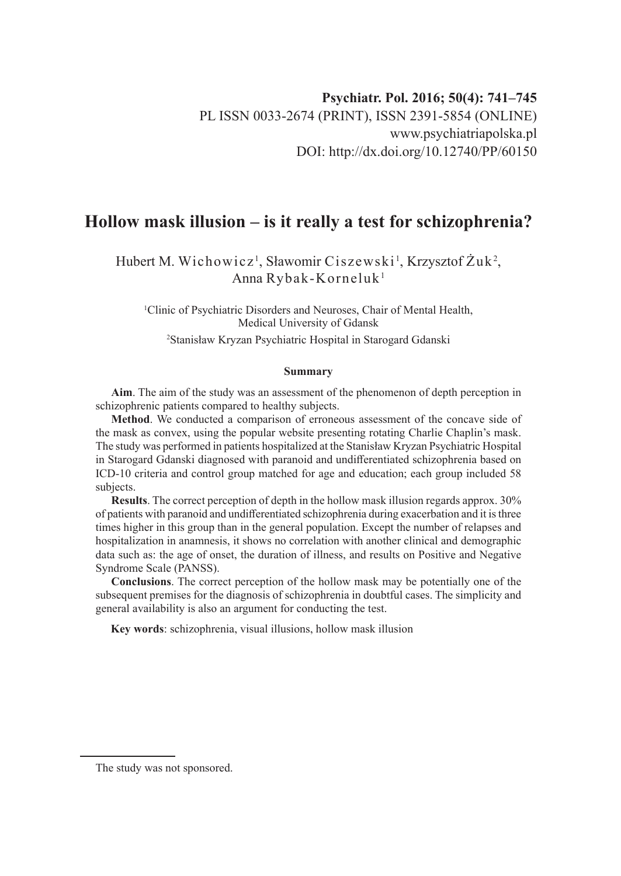# **Hollow mask illusion – is it really a test for schizophrenia?**

Hubert M. Wichowicz<sup>1</sup>, Sławomir Ciszewski<sup>1</sup>, Krzysztof Żuk<sup>2</sup>, Anna Rybak-Korneluk1

1 Clinic of Psychiatric Disorders and Neuroses, Chair of Mental Health, Medical University of Gdansk

2 Stanisław Kryzan Psychiatric Hospital in Starogard Gdanski

#### **Summary**

**Aim**. The aim of the study was an assessment of the phenomenon of depth perception in schizophrenic patients compared to healthy subjects.

**Method**. We conducted a comparison of erroneous assessment of the concave side of the mask as convex, using the popular website presenting rotating Charlie Chaplin's mask. The study was performed in patients hospitalized at the Stanisław Kryzan Psychiatric Hospital in Starogard Gdanski diagnosed with paranoid and undifferentiated schizophrenia based on ICD-10 criteria and control group matched for age and education; each group included 58 subjects.

**Results**. The correct perception of depth in the hollow mask illusion regards approx. 30% of patients with paranoid and undifferentiated schizophrenia during exacerbation and it is three times higher in this group than in the general population. Except the number of relapses and hospitalization in anamnesis, it shows no correlation with another clinical and demographic data such as: the age of onset, the duration of illness, and results on Positive and Negative Syndrome Scale (PANSS).

**Conclusions**. The correct perception of the hollow mask may be potentially one of the subsequent premises for the diagnosis of schizophrenia in doubtful cases. The simplicity and general availability is also an argument for conducting the test.

**Key words**: schizophrenia, visual illusions, hollow mask illusion

The study was not sponsored.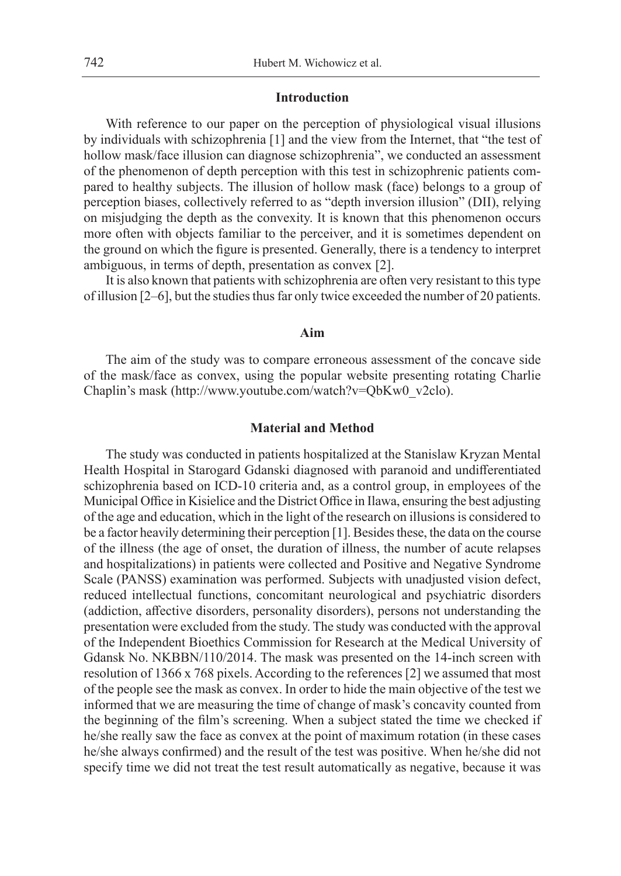## **Introduction**

With reference to our paper on the perception of physiological visual illusions by individuals with schizophrenia [1] and the view from the Internet, that "the test of hollow mask/face illusion can diagnose schizophrenia", we conducted an assessment of the phenomenon of depth perception with this test in schizophrenic patients compared to healthy subjects. The illusion of hollow mask (face) belongs to a group of perception biases, collectively referred to as "depth inversion illusion" (DII), relying on misjudging the depth as the convexity. It is known that this phenomenon occurs more often with objects familiar to the perceiver, and it is sometimes dependent on the ground on which the figure is presented. Generally, there is a tendency to interpret ambiguous, in terms of depth, presentation as convex [2].

It is also known that patients with schizophrenia are often very resistant to this type of illusion [2–6], but the studies thus far only twice exceeded the number of 20 patients.

## **Aim**

The aim of the study was to compare erroneous assessment of the concave side of the mask/face as convex, using the popular website presenting rotating Charlie Chaplin's mask (http://www.youtube.com/watch?v=QbKw0\_v2clo).

### **Material and Method**

The study was conducted in patients hospitalized at the Stanislaw Kryzan Mental Health Hospital in Starogard Gdanski diagnosed with paranoid and undifferentiated schizophrenia based on ICD-10 criteria and, as a control group, in employees of the Municipal Office in Kisielice and the District Office in Ilawa, ensuring the best adjusting of the age and education, which in the light of the research on illusions is considered to be a factor heavily determining their perception [1]. Besides these, the data on the course of the illness (the age of onset, the duration of illness, the number of acute relapses and hospitalizations) in patients were collected and Positive and Negative Syndrome Scale (PANSS) examination was performed. Subjects with unadjusted vision defect, reduced intellectual functions, concomitant neurological and psychiatric disorders (addiction, affective disorders, personality disorders), persons not understanding the presentation were excluded from the study. The study was conducted with the approval of the Independent Bioethics Commission for Research at the Medical University of Gdansk No. NKBBN/110/2014. The mask was presented on the 14-inch screen with resolution of 1366 x 768 pixels. According to the references [2] we assumed that most of the people see the mask as convex. In order to hide the main objective of the test we informed that we are measuring the time of change of mask's concavity counted from the beginning of the film's screening. When a subject stated the time we checked if he/she really saw the face as convex at the point of maximum rotation (in these cases he/she always confirmed) and the result of the test was positive. When he/she did not specify time we did not treat the test result automatically as negative, because it was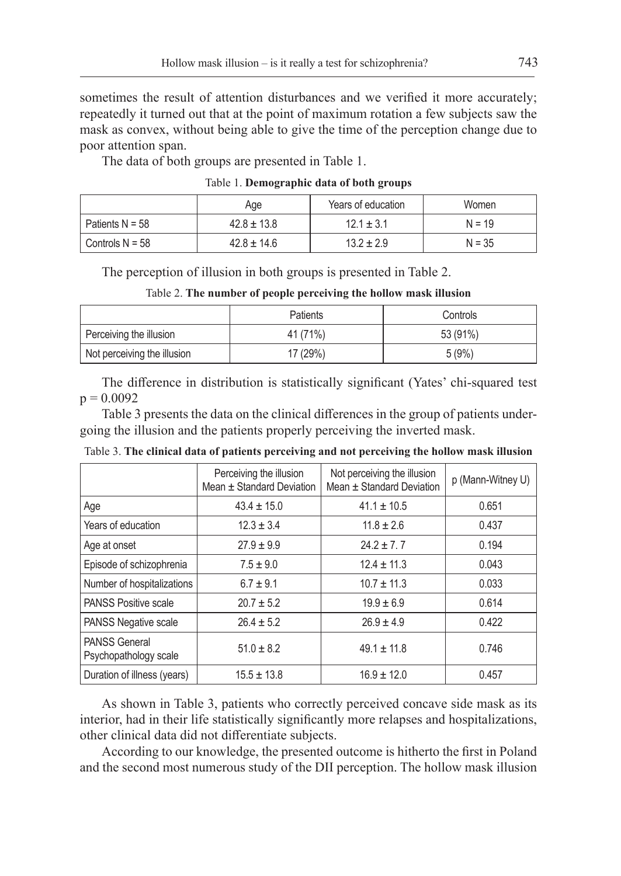sometimes the result of attention disturbances and we verified it more accurately; repeatedly it turned out that at the point of maximum rotation a few subjects saw the mask as convex, without being able to give the time of the perception change due to poor attention span.

The data of both groups are presented in Table 1.

| Table 1. Demographic data of both groups |  |  |  |
|------------------------------------------|--|--|--|
|------------------------------------------|--|--|--|

|                          | Age             | Years of education | Women    |
|--------------------------|-----------------|--------------------|----------|
| Patients $N = 58$        | $42.8 \pm 13.8$ | $12.1 \pm 3.1$     | $N = 19$ |
| $^\circ$ Controls N = 58 | $42.8 \pm 14.6$ | $13.2 \pm 2.9$     | $N = 35$ |

The perception of illusion in both groups is presented in Table 2.

| Table 2. The number of people perceiving the hollow mask illusion |  |  |  |  |
|-------------------------------------------------------------------|--|--|--|--|
|-------------------------------------------------------------------|--|--|--|--|

|                             | <b>Patients</b> | Controls |
|-----------------------------|-----------------|----------|
| Perceiving the illusion     | 41 (71%)        | 53 (91%) |
| Not perceiving the illusion | 17 (29%)        | 5(9%)    |

The difference in distribution is statistically significant (Yates' chi-squared test  $p = 0.0092$ 

Table 3 presents the data on the clinical differences in the group of patients undergoing the illusion and the patients properly perceiving the inverted mask.

|  |  | Table 3. The clinical data of patients perceiving and not perceiving the hollow mask illusion |  |  |  |  |
|--|--|-----------------------------------------------------------------------------------------------|--|--|--|--|
|--|--|-----------------------------------------------------------------------------------------------|--|--|--|--|

|                                               | Perceiving the illusion<br>Mean ± Standard Deviation | Not perceiving the illusion<br>Mean ± Standard Deviation | p (Mann-Witney U) |
|-----------------------------------------------|------------------------------------------------------|----------------------------------------------------------|-------------------|
| Age                                           | $43.4 \pm 15.0$                                      | $41.1 \pm 10.5$                                          | 0.651             |
| Years of education                            | $12.3 \pm 3.4$                                       | $11.8 \pm 2.6$                                           | 0.437             |
| Age at onset                                  | $27.9 \pm 9.9$                                       | $24.2 + 7.7$                                             | 0.194             |
| Episode of schizophrenia                      | $7.5 \pm 9.0$                                        | $12.4 \pm 11.3$                                          | 0.043             |
| Number of hospitalizations                    | $6.7 \pm 9.1$                                        | $10.7 \pm 11.3$                                          | 0.033             |
| <b>PANSS Positive scale</b>                   | $20.7 \pm 5.2$                                       | $19.9 \pm 6.9$                                           | 0.614             |
| <b>PANSS Negative scale</b>                   | $26.4 \pm 5.2$                                       | $26.9 \pm 4.9$                                           | 0.422             |
| <b>PANSS General</b><br>Psychopathology scale | $51.0 \pm 8.2$                                       | $49.1 \pm 11.8$                                          | 0.746             |
| Duration of illness (years)                   | $15.5 \pm 13.8$                                      | $16.9 \pm 12.0$                                          | 0.457             |

As shown in Table 3, patients who correctly perceived concave side mask as its interior, had in their life statistically significantly more relapses and hospitalizations, other clinical data did not differentiate subjects.

According to our knowledge, the presented outcome is hitherto the first in Poland and the second most numerous study of the DII perception. The hollow mask illusion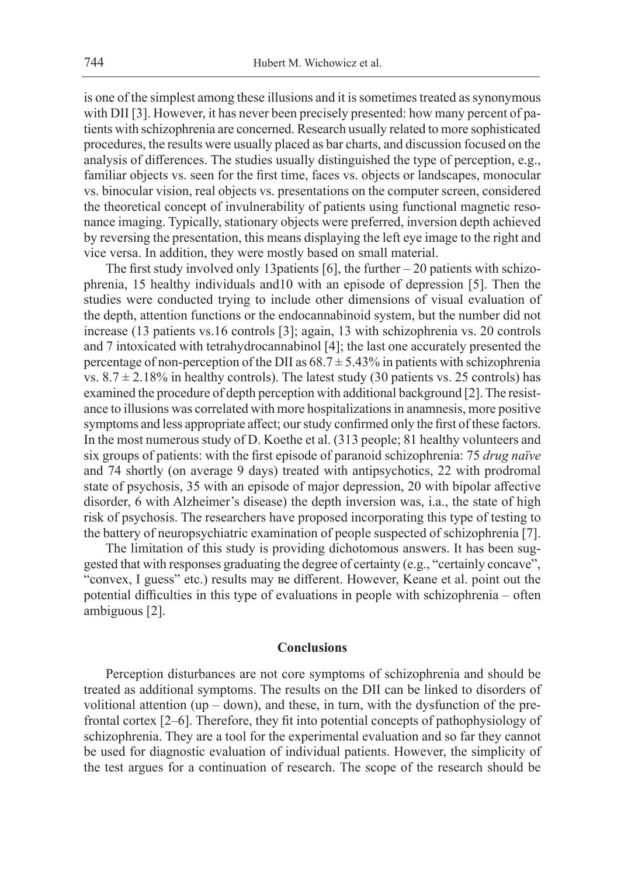is one of the simplest among these illusions and it is sometimes treated as synonymous with DII [3]. However, it has never been precisely presented: how many percent of patients with schizophrenia are concerned. Research usually related to more sophisticated procedures, the results were usually placed as bar charts, and discussion focused on the analysis of differences. The studies usually distinguished the type of perception, e.g., familiar objects vs. seen for the first time, faces vs. objects or landscapes, monocular vs. binocular vision, real objects vs. presentations on the computer screen, considered the theoretical concept of invulnerability of patients using functional magnetic resonance imaging. Typically, stationary objects were preferred, inversion depth achieved by reversing the presentation, this means displaying the left eye image to the right and vice versa. In addition, they were mostly based on small material.

The first study involved only 13patients [6], the further – 20 patients with schizophrenia, 15 healthy individuals and10 with an episode of depression [5]. Then the studies were conducted trying to include other dimensions of visual evaluation of the depth, attention functions or the endocannabinoid system, but the number did not increase (13 patients vs.16 controls [3]; again, 13 with schizophrenia vs. 20 controls and 7 intoxicated with tetrahydrocannabinol [4]; the last one accurately presented the percentage of non-perception of the DII as  $68.7 \pm 5.43\%$  in patients with schizophrenia vs.  $8.7 \pm 2.18\%$  in healthy controls). The latest study (30 patients vs. 25 controls) has examined the procedure of depth perception with additional background [2]. The resistance to illusions was correlated with more hospitalizations in anamnesis, more positive symptoms and less appropriate affect; our study confirmed only the first of these factors. In the most numerous study of D. Koethe et al. (313 people; 81 healthy volunteers and six groups of patients: with the first episode of paranoid schizophrenia: 75 *drug naïve*  and 74 shortly (on average 9 days) treated with antipsychotics, 22 with prodromal state of psychosis, 35 with an episode of major depression, 20 with bipolar affective disorder, 6 with Alzheimer's disease) the depth inversion was, i.a., the state of high risk of psychosis. The researchers have proposed incorporating this type of testing to the battery of neuropsychiatric examination of people suspected of schizophrenia [7].

The limitation of this study is providing dichotomous answers. It has been suggested that with responses graduating the degree of certainty (e.g., "certainly concave", "convex, I guess" etc.) results may be different. However, Keane et al. point out the potential difficulties in this type of evaluations in people with schizophrenia – often ambiguous [2].

### **Conclusions**

Perception disturbances are not core symptoms of schizophrenia and should be treated as additional symptoms. The results on the DII can be linked to disorders of volitional attention (up  $-$  down), and these, in turn, with the dysfunction of the prefrontal cortex [2–6]. Therefore, they fit into potential concepts of pathophysiology of schizophrenia. They are a tool for the experimental evaluation and so far they cannot be used for diagnostic evaluation of individual patients. However, the simplicity of the test argues for a continuation of research. The scope of the research should be